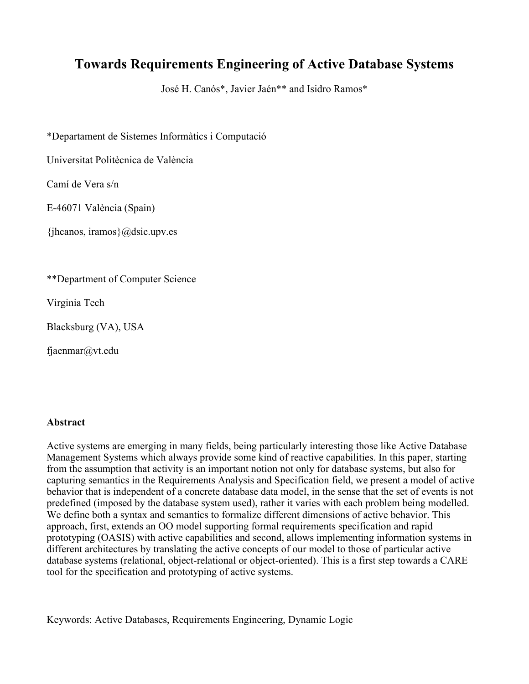# **Towards Requirements Engineering of Active Database Systems**

José H. Canós\*, Javier Jaén\*\* and Isidro Ramos\*

\*Departament de Sistemes Informàtics i Computació

Universitat Politècnica de València

Camí de Vera s/n

E-46071 València (Spain)

 $\{i\}$ hcanos, iramos $\{@disc.upp. es\}$ 

\*\*Department of Computer Science

Virginia Tech

Blacksburg (VA), USA

fjaenmar@vt.edu

### **Abstract**

Active systems are emerging in many fields, being particularly interesting those like Active Database Management Systems which always provide some kind of reactive capabilities. In this paper, starting from the assumption that activity is an important notion not only for database systems, but also for capturing semantics in the Requirements Analysis and Specification field, we present a model of active behavior that is independent of a concrete database data model, in the sense that the set of events is not predefined (imposed by the database system used), rather it varies with each problem being modelled. We define both a syntax and semantics to formalize different dimensions of active behavior. This approach, first, extends an OO model supporting formal requirements specification and rapid prototyping (OASIS) with active capabilities and second, allows implementing information systems in different architectures by translating the active concepts of our model to those of particular active database systems (relational, object-relational or object-oriented). This is a first step towards a CARE tool for the specification and prototyping of active systems.

Keywords: Active Databases, Requirements Engineering, Dynamic Logic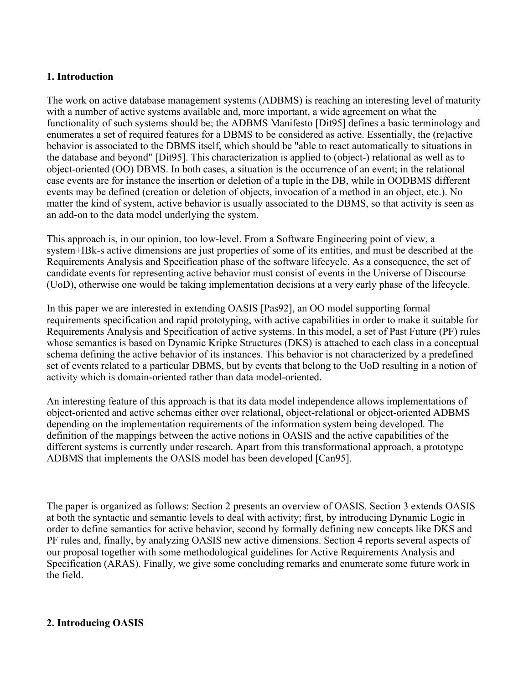# **1. Introduction**

The work on active database management systems (ADBMS) is reaching an interesting level of maturity with a number of active systems available and, more important, a wide agreement on what the functionality of such systems should be; the ADBMS Manifesto [Dit95] defines a basic terminology and enumerates a set of required features for a DBMS to be considered as active. Essentially, the (re)active behavior is associated to the DBMS itself, which should be "able to react automatically to situations in the database and beyond" [Dit95]. This characterization is applied to (object-) relational as well as to object-oriented (OO) DBMS. In both cases, a situation is the occurrence of an event; in the relational case events are for instance the insertion or deletion of a tuple in the DB, while in OODBMS different events may be defined (creation or deletion of objects, invocation of a method in an object, etc.). No matter the kind of system, active behavior is usually associated to the DBMS, so that activity is seen as an add-on to the data model underlying the system.

This approach is, in our opinion, too low-level. From a Software Engineering point of view, a system+IBk-s active dimensions are just properties of some of its entities, and must be described at the Requirements Analysis and Specification phase of the software lifecycle. As a consequence, the set of candidate events for representing active behavior must consist of events in the Universe of Discourse (UoD), otherwise one would be taking implementation decisions at a very early phase of the lifecycle.

In this paper we are interested in extending OASIS [Pas92], an OO model supporting formal requirements specification and rapid prototyping, with active capabilities in order to make it suitable for Requirements Analysis and Specification of active systems. In this model, a set of Past Future (PF) rules whose semantics is based on Dynamic Kripke Structures (DKS) is attached to each class in a conceptual schema defining the active behavior of its instances. This behavior is not characterized by a predefined set of events related to a particular DBMS, but by events that belong to the UoD resulting in a notion of activity which is domain-oriented rather than data model-oriented.

An interesting feature of this approach is that its data model independence allows implementations of object-oriented and active schemas either over relational, object-relational or object-oriented ADBMS depending on the implementation requirements of the information system being developed. The definition of the mappings between the active notions in OASIS and the active capabilities of the different systems is currently under research. Apart from this transformational approach, a prototype ADBMS that implements the OASIS model has been developed [Can95].

The paper is organized as follows: Section 2 presents an overview of OASIS. Section 3 extends OASIS at both the syntactic and semantic levels to deal with activity; first, by introducing Dynamic Logic in order to define semantics for active behavior, second by formally defining new concepts like DKS and PF rules and, finally, by analyzing OASIS new active dimensions. Section 4 reports several aspects of our proposal together with some methodological guidelines for Active Requirements Analysis and Specification (ARAS). Finally, we give some concluding remarks and enumerate some future work in the field.

# **2. Introducing OASIS**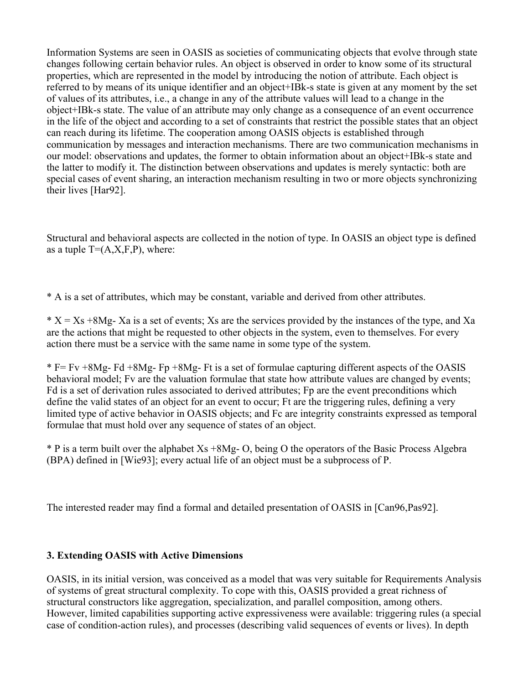Information Systems are seen in OASIS as societies of communicating objects that evolve through state changes following certain behavior rules. An object is observed in order to know some of its structural properties, which are represented in the model by introducing the notion of attribute. Each object is referred to by means of its unique identifier and an object+IBk-s state is given at any moment by the set of values of its attributes, i.e., a change in any of the attribute values will lead to a change in the object+IBk-s state. The value of an attribute may only change as a consequence of an event occurrence in the life of the object and according to a set of constraints that restrict the possible states that an object can reach during its lifetime. The cooperation among OASIS objects is established through communication by messages and interaction mechanisms. There are two communication mechanisms in our model: observations and updates, the former to obtain information about an object+IBk-s state and the latter to modify it. The distinction between observations and updates is merely syntactic: both are special cases of event sharing, an interaction mechanism resulting in two or more objects synchronizing their lives [Har92].

Structural and behavioral aspects are collected in the notion of type. In OASIS an object type is defined as a tuple  $T=(A,X,F,P)$ , where:

\* A is a set of attributes, which may be constant, variable and derived from other attributes.

 $* X = Xs + 8Mg - Xa$  is a set of events; Xs are the services provided by the instances of the type, and Xa are the actions that might be requested to other objects in the system, even to themselves. For every action there must be a service with the same name in some type of the system.

 $*$  F= Fy  $+8Mg$ - Fd  $+8Mg$ - Fp  $+8Mg$ - Ft is a set of formulae capturing different aspects of the OASIS behavioral model; Fv are the valuation formulae that state how attribute values are changed by events; Fd is a set of derivation rules associated to derived attributes; Fp are the event preconditions which define the valid states of an object for an event to occur; Ft are the triggering rules, defining a very limited type of active behavior in OASIS objects; and Fc are integrity constraints expressed as temporal formulae that must hold over any sequence of states of an object.

\* P is a term built over the alphabet Xs +8Mg- O, being O the operators of the Basic Process Algebra (BPA) defined in [Wie93]; every actual life of an object must be a subprocess of P.

The interested reader may find a formal and detailed presentation of OASIS in [Can96,Pas92].

# **3. Extending OASIS with Active Dimensions**

OASIS, in its initial version, was conceived as a model that was very suitable for Requirements Analysis of systems of great structural complexity. To cope with this, OASIS provided a great richness of structural constructors like aggregation, specialization, and parallel composition, among others. However, limited capabilities supporting active expressiveness were available: triggering rules (a special case of condition-action rules), and processes (describing valid sequences of events or lives). In depth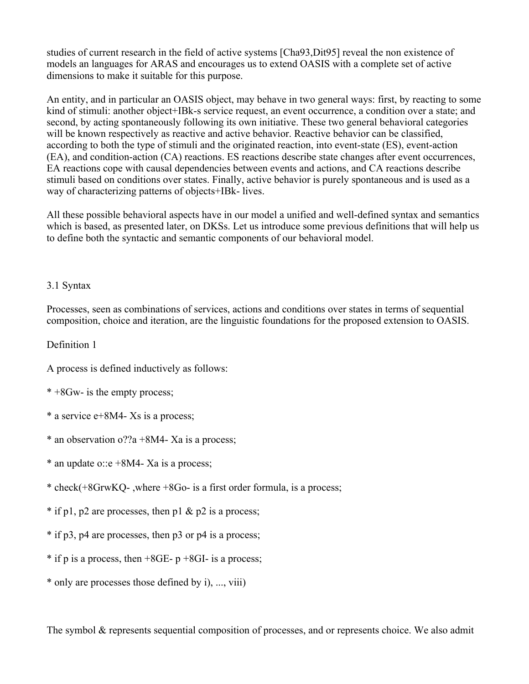studies of current research in the field of active systems [Cha93,Dit95] reveal the non existence of models an languages for ARAS and encourages us to extend OASIS with a complete set of active dimensions to make it suitable for this purpose.

An entity, and in particular an OASIS object, may behave in two general ways: first, by reacting to some kind of stimuli: another object+IBk-s service request, an event occurrence, a condition over a state; and second, by acting spontaneously following its own initiative. These two general behavioral categories will be known respectively as reactive and active behavior. Reactive behavior can be classified, according to both the type of stimuli and the originated reaction, into event-state (ES), event-action (EA), and condition-action (CA) reactions. ES reactions describe state changes after event occurrences, EA reactions cope with causal dependencies between events and actions, and CA reactions describe stimuli based on conditions over states. Finally, active behavior is purely spontaneous and is used as a way of characterizing patterns of objects+IBk- lives.

All these possible behavioral aspects have in our model a unified and well-defined syntax and semantics which is based, as presented later, on DKSs. Let us introduce some previous definitions that will help us to define both the syntactic and semantic components of our behavioral model.

# 3.1 Syntax

Processes, seen as combinations of services, actions and conditions over states in terms of sequential composition, choice and iteration, are the linguistic foundations for the proposed extension to OASIS.

Definition 1

A process is defined inductively as follows:

- \* +8Gw- is the empty process;
- \* a service e+8M4- Xs is a process;
- \* an observation o??a +8M4- Xa is a process;
- \* an update o:: e +8M4 Xa is a process;
- \* check(+8GrwKQ- ,where +8Go- is a first order formula, is a process;
- $*$  if p1, p2 are processes, then p1 & p2 is a process;
- \* if p3, p4 are processes, then p3 or p4 is a process;
- $*$  if p is a process, then  $+8GE-$  p  $+8GI-$  is a process;
- \* only are processes those defined by i), ..., viii)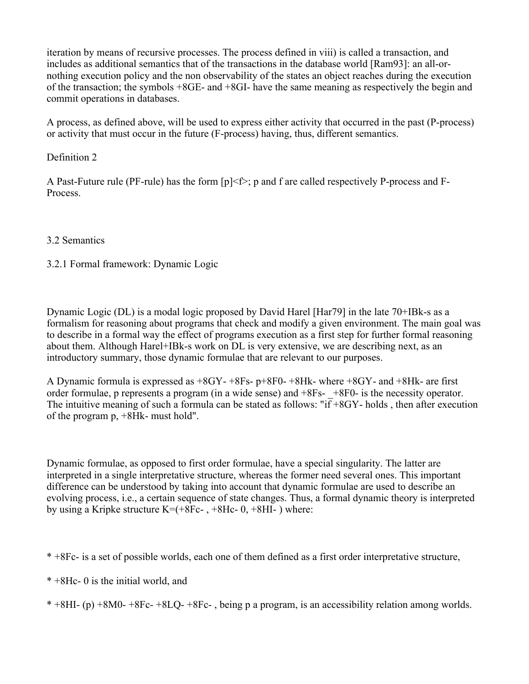iteration by means of recursive processes. The process defined in viii) is called a transaction, and includes as additional semantics that of the transactions in the database world [Ram93]: an all-ornothing execution policy and the non observability of the states an object reaches during the execution of the transaction; the symbols +8GE- and +8GI- have the same meaning as respectively the begin and commit operations in databases.

A process, as defined above, will be used to express either activity that occurred in the past (P-process) or activity that must occur in the future (F-process) having, thus, different semantics.

# Definition 2

A Past-Future rule (PF-rule) has the form [p]<f>; p and f are called respectively P-process and F-Process.

# 3.2 Semantics

# 3.2.1 Formal framework: Dynamic Logic

Dynamic Logic (DL) is a modal logic proposed by David Harel [Har79] in the late 70+IBk-s as a formalism for reasoning about programs that check and modify a given environment. The main goal was to describe in a formal way the effect of programs execution as a first step for further formal reasoning about them. Although Harel+IBk-s work on DL is very extensive, we are describing next, as an introductory summary, those dynamic formulae that are relevant to our purposes.

A Dynamic formula is expressed as +8GY- +8Fs- p+8F0- +8Hk- where +8GY- and +8Hk- are first order formulae, p represents a program (in a wide sense) and  $+8Fs- +8F0-$  is the necessity operator. The intuitive meaning of such a formula can be stated as follows: "if +8GY- holds , then after execution of the program p, +8Hk- must hold".

Dynamic formulae, as opposed to first order formulae, have a special singularity. The latter are interpreted in a single interpretative structure, whereas the former need several ones. This important difference can be understood by taking into account that dynamic formulae are used to describe an evolving process, i.e., a certain sequence of state changes. Thus, a formal dynamic theory is interpreted by using a Kripke structure  $K=(+8Fc- , +8Hc- 0, +8HI- )$  where:

\* +8Hc- 0 is the initial world, and

\* +8HI- (p) +8M0- +8Fc- +8LQ- +8Fc- , being p a program, is an accessibility relation among worlds.

<sup>\* +8</sup>Fc- is a set of possible worlds, each one of them defined as a first order interpretative structure,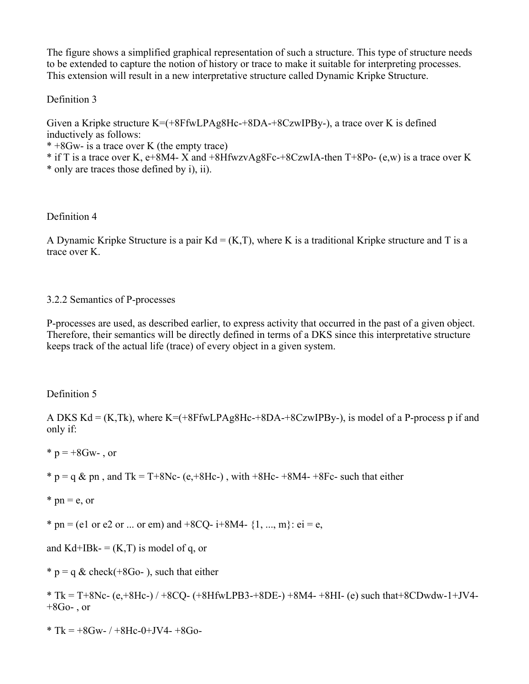The figure shows a simplified graphical representation of such a structure. This type of structure needs to be extended to capture the notion of history or trace to make it suitable for interpreting processes. This extension will result in a new interpretative structure called Dynamic Kripke Structure.

# Definition 3

Given a Kripke structure  $K=(8FfwLPAg8Hc+8DA-8CzwIPBy-)$ , a trace over K is defined inductively as follows:

\* +8Gw- is a trace over K (the empty trace)

\* if T is a trace over K, e+8M4- X and +8HfwzvAg8Fc-+8CzwIA-then T+8Po- (e,w) is a trace over K

\* only are traces those defined by i), ii).

# Definition 4

A Dynamic Kripke Structure is a pair  $Kd = (K,T)$ , where K is a traditional Kripke structure and T is a trace over K.

# 3.2.2 Semantics of P-processes

P-processes are used, as described earlier, to express activity that occurred in the past of a given object. Therefore, their semantics will be directly defined in terms of a DKS since this interpretative structure keeps track of the actual life (trace) of every object in a given system.

# Definition 5

A DKS  $Kd = (K, Tk)$ , where  $K = (+8FfwLPAg8Hc+8DA+8CzwIPBy-)$ , is model of a P-process p if and only if:

 $*$  p = +8Gw- , or

 $* p = q \& p$  p and Tk = T+8Nc- (e, +8Hc-), with +8Hc- +8M4- +8Fc- such that either

 $*$  pn = e, or

\* pn = (e1 or e2 or ... or em) and +8CQ- i+8M4-  $\{1, ..., m\}$ : ei = e,

and Kd+IBk-  $=$  (K,T) is model of q, or

\*  $p = q \&$  check(+8Go-), such that either

\* Tk = T+8Nc- (e,+8Hc-) / +8CQ- (+8HfwLPB3-+8DE-) +8M4- +8HI- (e) such that+8CDwdw-1+JV4-  $+8G<sub>0</sub>$ , or

\* Tk =  $+8$ Gw- /  $+8$ Hc-0+JV4-  $+8$ Go-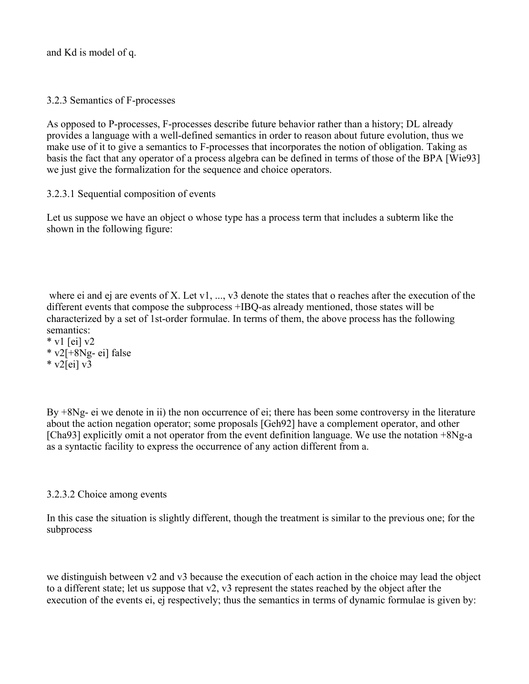and Kd is model of q.

3.2.3 Semantics of F-processes

As opposed to P-processes, F-processes describe future behavior rather than a history; DL already provides a language with a well-defined semantics in order to reason about future evolution, thus we make use of it to give a semantics to F-processes that incorporates the notion of obligation. Taking as basis the fact that any operator of a process algebra can be defined in terms of those of the BPA [Wie93] we just give the formalization for the sequence and choice operators.

# 3.2.3.1 Sequential composition of events

Let us suppose we have an object o whose type has a process term that includes a subterm like the shown in the following figure:

 where ei and ej are events of X. Let v1, ..., v3 denote the states that o reaches after the execution of the different events that compose the subprocess +IBQ-as already mentioned, those states will be characterized by a set of 1st-order formulae. In terms of them, the above process has the following semantics:

 $*$  v1 [ei] v2 \* v2[+8Ng- ei] false  $*$  v2[ei] v3

By +8Ng- ei we denote in ii) the non occurrence of ei; there has been some controversy in the literature about the action negation operator; some proposals [Geh92] have a complement operator, and other [Cha93] explicitly omit a not operator from the event definition language. We use the notation +8Ng-a as a syntactic facility to express the occurrence of any action different from a.

# 3.2.3.2 Choice among events

In this case the situation is slightly different, though the treatment is similar to the previous one; for the subprocess

we distinguish between v2 and v3 because the execution of each action in the choice may lead the object to a different state; let us suppose that v2, v3 represent the states reached by the object after the execution of the events ei, ej respectively; thus the semantics in terms of dynamic formulae is given by: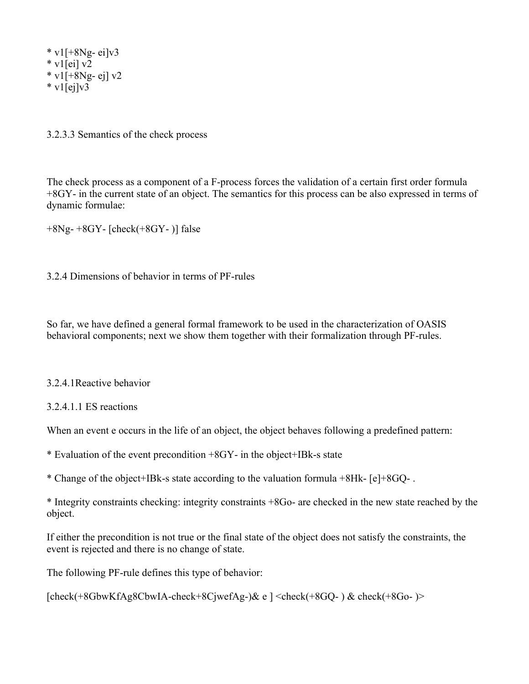$*$  v1[+8Ng- ei]v3  $*$  v1[ei] v2  $*$  v1[+8Ng- ej] v2  $*$  v1[ej]v3

3.2.3.3 Semantics of the check process

The check process as a component of a F-process forces the validation of a certain first order formula +8GY- in the current state of an object. The semantics for this process can be also expressed in terms of dynamic formulae:

+8Ng- +8GY- [check(+8GY- )] false

3.2.4 Dimensions of behavior in terms of PF-rules

So far, we have defined a general formal framework to be used in the characterization of OASIS behavioral components; next we show them together with their formalization through PF-rules.

#### 3.2.4.1Reactive behavior

#### 3.2.4.1.1 ES reactions

When an event e occurs in the life of an object, the object behaves following a predefined pattern:

\* Evaluation of the event precondition +8GY- in the object+IBk-s state

\* Change of the object+IBk-s state according to the valuation formula +8Hk- [e]+8GQ- .

\* Integrity constraints checking: integrity constraints +8Go- are checked in the new state reached by the object.

If either the precondition is not true or the final state of the object does not satisfy the constraints, the event is rejected and there is no change of state.

The following PF-rule defines this type of behavior:

```
[check(+8GbwKfAg8CbwIA-check+8CjwefAg-)& e ] <check(+8GQ- ) & check(+8Go- )>
```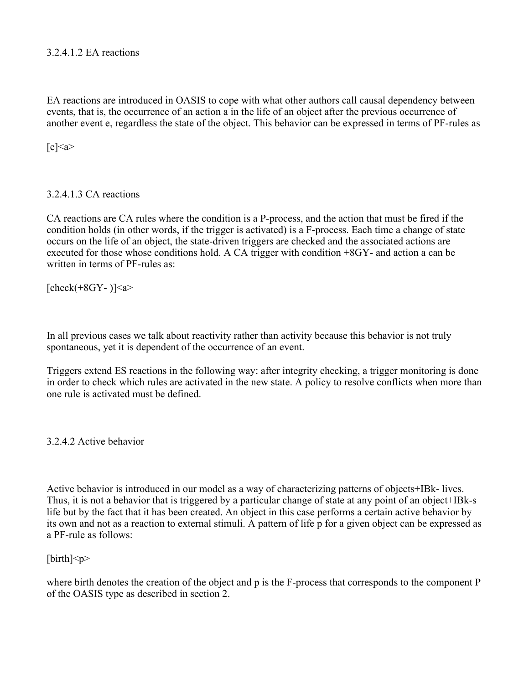# 3.2.4.1.2 EA reactions

EA reactions are introduced in OASIS to cope with what other authors call causal dependency between events, that is, the occurrence of an action a in the life of an object after the previous occurrence of another event e, regardless the state of the object. This behavior can be expressed in terms of PF-rules as

 $[e] \leq a$ 

# 3.2.4.1.3 CA reactions

CA reactions are CA rules where the condition is a P-process, and the action that must be fired if the condition holds (in other words, if the trigger is activated) is a F-process. Each time a change of state occurs on the life of an object, the state-driven triggers are checked and the associated actions are executed for those whose conditions hold. A CA trigger with condition +8GY- and action a can be written in terms of PF-rules as:

[check $(+8$ GY- $)]$  <a>

In all previous cases we talk about reactivity rather than activity because this behavior is not truly spontaneous, yet it is dependent of the occurrence of an event.

Triggers extend ES reactions in the following way: after integrity checking, a trigger monitoring is done in order to check which rules are activated in the new state. A policy to resolve conflicts when more than one rule is activated must be defined.

3.2.4.2 Active behavior

Active behavior is introduced in our model as a way of characterizing patterns of objects+IBk- lives. Thus, it is not a behavior that is triggered by a particular change of state at any point of an object+IBk-s life but by the fact that it has been created. An object in this case performs a certain active behavior by its own and not as a reaction to external stimuli. A pattern of life p for a given object can be expressed as a PF-rule as follows:

# $[\text{birth}]$

where birth denotes the creation of the object and p is the F-process that corresponds to the component P of the OASIS type as described in section 2.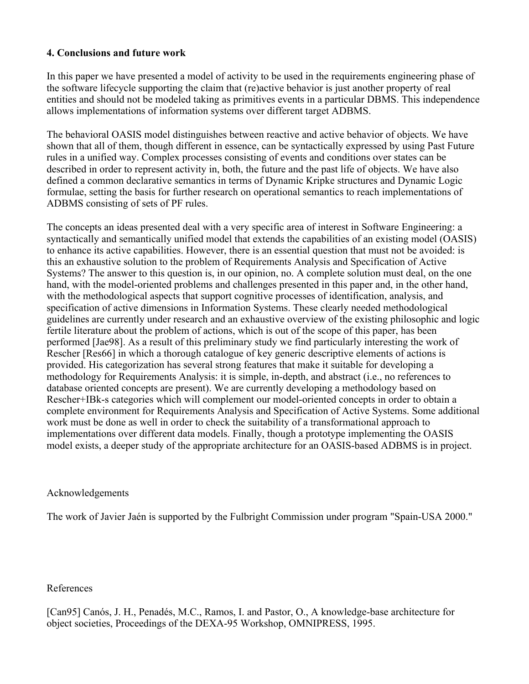### **4. Conclusions and future work**

In this paper we have presented a model of activity to be used in the requirements engineering phase of the software lifecycle supporting the claim that (re)active behavior is just another property of real entities and should not be modeled taking as primitives events in a particular DBMS. This independence allows implementations of information systems over different target ADBMS.

The behavioral OASIS model distinguishes between reactive and active behavior of objects. We have shown that all of them, though different in essence, can be syntactically expressed by using Past Future rules in a unified way. Complex processes consisting of events and conditions over states can be described in order to represent activity in, both, the future and the past life of objects. We have also defined a common declarative semantics in terms of Dynamic Kripke structures and Dynamic Logic formulae, setting the basis for further research on operational semantics to reach implementations of ADBMS consisting of sets of PF rules.

The concepts an ideas presented deal with a very specific area of interest in Software Engineering: a syntactically and semantically unified model that extends the capabilities of an existing model (OASIS) to enhance its active capabilities. However, there is an essential question that must not be avoided: is this an exhaustive solution to the problem of Requirements Analysis and Specification of Active Systems? The answer to this question is, in our opinion, no. A complete solution must deal, on the one hand, with the model-oriented problems and challenges presented in this paper and, in the other hand, with the methodological aspects that support cognitive processes of identification, analysis, and specification of active dimensions in Information Systems. These clearly needed methodological guidelines are currently under research and an exhaustive overview of the existing philosophic and logic fertile literature about the problem of actions, which is out of the scope of this paper, has been performed [Jae98]. As a result of this preliminary study we find particularly interesting the work of Rescher [Res66] in which a thorough catalogue of key generic descriptive elements of actions is provided. His categorization has several strong features that make it suitable for developing a methodology for Requirements Analysis: it is simple, in-depth, and abstract (i.e., no references to database oriented concepts are present). We are currently developing a methodology based on Rescher+IBk-s categories which will complement our model-oriented concepts in order to obtain a complete environment for Requirements Analysis and Specification of Active Systems. Some additional work must be done as well in order to check the suitability of a transformational approach to implementations over different data models. Finally, though a prototype implementing the OASIS model exists, a deeper study of the appropriate architecture for an OASIS-based ADBMS is in project.

### Acknowledgements

The work of Javier Jaén is supported by the Fulbright Commission under program "Spain-USA 2000."

### References

[Can95] Canós, J. H., Penadés, M.C., Ramos, I. and Pastor, O., A knowledge-base architecture for object societies, Proceedings of the DEXA-95 Workshop, OMNIPRESS, 1995.